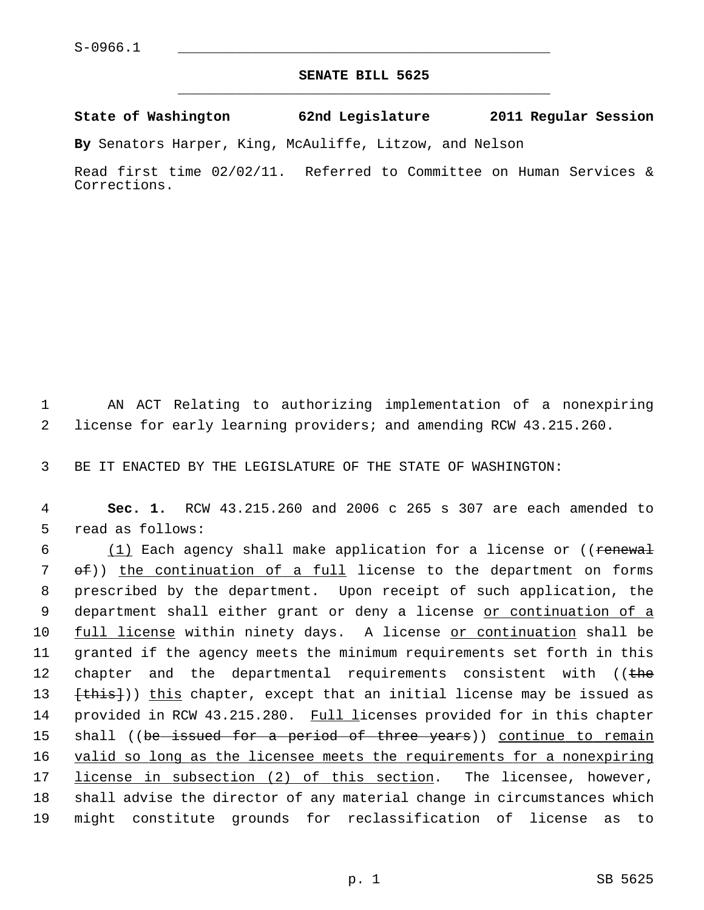## **SENATE BILL 5625** \_\_\_\_\_\_\_\_\_\_\_\_\_\_\_\_\_\_\_\_\_\_\_\_\_\_\_\_\_\_\_\_\_\_\_\_\_\_\_\_\_\_\_\_\_

**State of Washington 62nd Legislature 2011 Regular Session**

**By** Senators Harper, King, McAuliffe, Litzow, and Nelson

Read first time 02/02/11. Referred to Committee on Human Services & Corrections.

 1 AN ACT Relating to authorizing implementation of a nonexpiring 2 license for early learning providers; and amending RCW 43.215.260.

3 BE IT ENACTED BY THE LEGISLATURE OF THE STATE OF WASHINGTON:

 4 **Sec. 1.** RCW 43.215.260 and 2006 c 265 s 307 are each amended to 5 read as follows:

 $6$  (1) Each agency shall make application for a license or ((renewal 7 of)) the continuation of a full license to the department on forms 8 prescribed by the department. Upon receipt of such application, the 9 department shall either grant or deny a license or continuation of a 10 full license within ninety days. A license or continuation shall be 11 granted if the agency meets the minimum requirements set forth in this 12 chapter and the departmental requirements consistent with ((the 13 (this)) this chapter, except that an initial license may be issued as 14 provided in RCW 43.215.280. Full licenses provided for in this chapter 15 shall ((be issued for a period of three years)) continue to remain 16 valid so long as the licensee meets the requirements for a nonexpiring 17 license in subsection (2) of this section. The licensee, however, 18 shall advise the director of any material change in circumstances which 19 might constitute grounds for reclassification of license as to